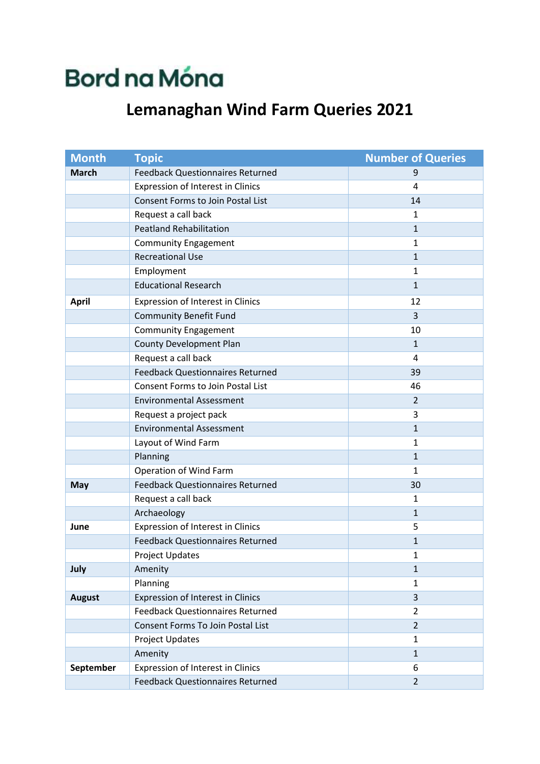## **Bord na Móna**

## **Lemanaghan Wind Farm Queries 2021**

| <b>Month</b>  | <b>Topic</b>                             | <b>Number of Queries</b> |
|---------------|------------------------------------------|--------------------------|
| <b>March</b>  | <b>Feedback Questionnaires Returned</b>  | 9                        |
|               | <b>Expression of Interest in Clinics</b> | 4                        |
|               | <b>Consent Forms to Join Postal List</b> | 14                       |
|               | Request a call back                      | $\mathbf{1}$             |
|               | <b>Peatland Rehabilitation</b>           | $\mathbf{1}$             |
|               | <b>Community Engagement</b>              | $\mathbf{1}$             |
|               | <b>Recreational Use</b>                  | $\mathbf{1}$             |
|               | Employment                               | $\mathbf{1}$             |
|               | <b>Educational Research</b>              | $\mathbf{1}$             |
| <b>April</b>  | Expression of Interest in Clinics        | 12                       |
|               | <b>Community Benefit Fund</b>            | 3                        |
|               | <b>Community Engagement</b>              | 10                       |
|               | <b>County Development Plan</b>           | $\mathbf{1}$             |
|               | Request a call back                      | 4                        |
|               | <b>Feedback Questionnaires Returned</b>  | 39                       |
|               | <b>Consent Forms to Join Postal List</b> | 46                       |
|               | <b>Environmental Assessment</b>          | $\overline{2}$           |
|               | Request a project pack                   | 3                        |
|               | <b>Environmental Assessment</b>          | $\mathbf{1}$             |
|               | Layout of Wind Farm                      | $\mathbf{1}$             |
|               | Planning                                 | $\mathbf{1}$             |
|               | Operation of Wind Farm                   | $\mathbf{1}$             |
| <b>May</b>    | <b>Feedback Questionnaires Returned</b>  | 30                       |
|               | Request a call back                      | $\mathbf{1}$             |
|               | Archaeology                              | $\mathbf{1}$             |
| June          | Expression of Interest in Clinics        | 5                        |
|               | <b>Feedback Questionnaires Returned</b>  | $\mathbf{1}$             |
|               | Project Updates                          | $\mathbf{1}$             |
| July          | Amenity                                  | $\mathbf{1}$             |
|               | Planning                                 | $\mathbf{1}$             |
| <b>August</b> | Expression of Interest in Clinics        | 3                        |
|               | <b>Feedback Questionnaires Returned</b>  | $\overline{2}$           |
|               | Consent Forms To Join Postal List        | $\overline{2}$           |
|               | <b>Project Updates</b>                   | $\mathbf{1}$             |
|               | Amenity                                  | $\mathbf{1}$             |
| September     | Expression of Interest in Clinics        | 6                        |
|               | <b>Feedback Questionnaires Returned</b>  | $\overline{2}$           |